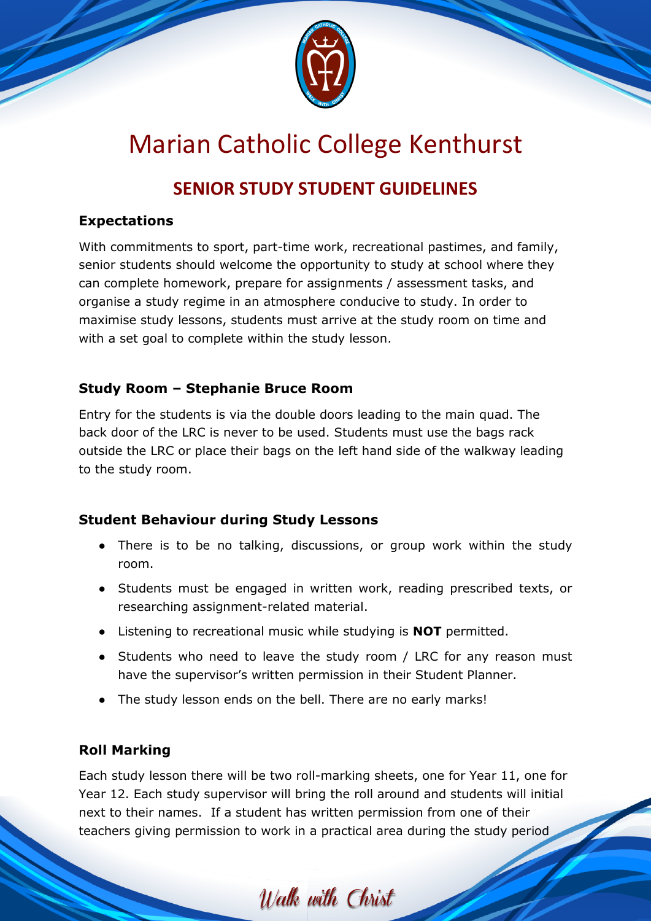

# Marian Catholic College Kenthurst

# **SENIOR STUDY STUDENT GUIDELINES**

#### **Expectations**

With commitments to sport, part-time work, recreational pastimes, and family, senior students should welcome the opportunity to study at school where they can complete homework, prepare for assignments / assessment tasks, and organise a study regime in an atmosphere conducive to study. In order to maximise study lessons, students must arrive at the study room on time and with a set goal to complete within the study lesson.

## **Study Room – Stephanie Bruce Room**

Entry for the students is via the double doors leading to the main quad. The back door of the LRC is never to be used. Students must use the bags rack outside the LRC or place their bags on the left hand side of the walkway leading to the study room.

#### **Student Behaviour during Study Lessons**

- There is to be no talking, discussions, or group work within the study room.
- Students must be engaged in written work, reading prescribed texts, or researching assignment-related material.
- Listening to recreational music while studying is **NOT** permitted.
- Students who need to leave the study room / LRC for any reason must have the supervisor's written permission in their Student Planner.
- The study lesson ends on the bell. There are no early marks!

# **Roll Marking**

Each study lesson there will be two roll-marking sheets, one for Year 11, one for Year 12. Each study supervisor will bring the roll around and students will initial next to their names. If a student has written permission from one of their teachers giving permission to work in a practical area during the study period

Walk with Christ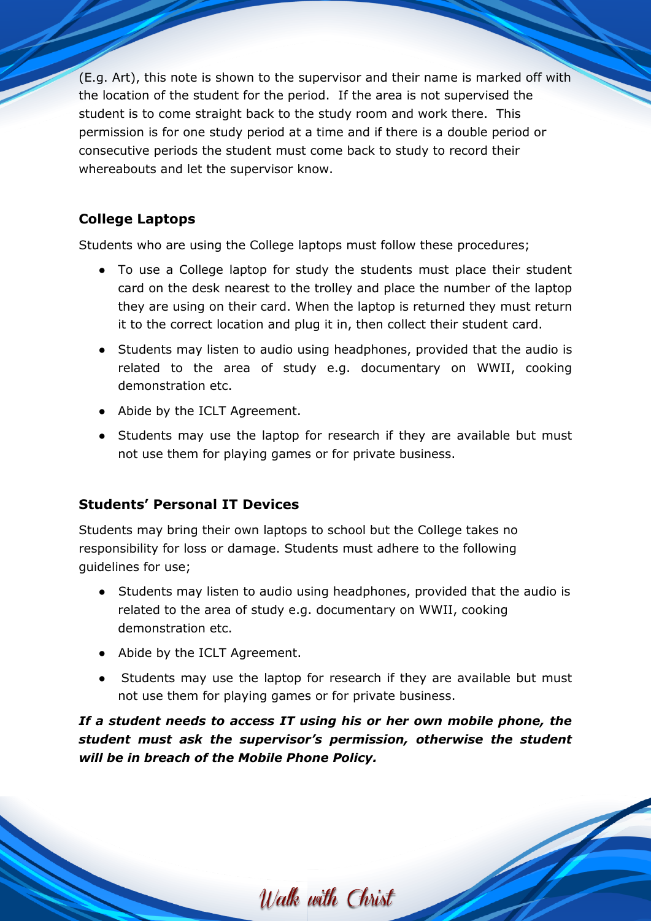(E.g. Art), this note is shown to the supervisor and their name is marked off with the location of the student for the period. If the area is not supervised the student is to come straight back to the study room and work there. This permission is for one study period at a time and if there is a double period or consecutive periods the student must come back to study to record their whereabouts and let the supervisor know.

### **College Laptops**

Students who are using the College laptops must follow these procedures;

- To use a College laptop for study the students must place their student card on the desk nearest to the trolley and place the number of the laptop they are using on their card. When the laptop is returned they must return it to the correct location and plug it in, then collect their student card.
- Students may listen to audio using headphones, provided that the audio is related to the area of study e.g. documentary on WWII, cooking demonstration etc.
- Abide by the ICLT Agreement.
- Students may use the laptop for research if they are available but must not use them for playing games or for private business.

#### **Students' Personal IT Devices**

Students may bring their own laptops to school but the College takes no responsibility for loss or damage. Students must adhere to the following guidelines for use;

- Students may listen to audio using headphones, provided that the audio is related to the area of study e.g. documentary on WWII, cooking demonstration etc.
- Abide by the ICLT Agreement.
- Students may use the laptop for research if they are available but must not use them for playing games or for private business.

*If a student needs to access IT using his or her own mobile phone, the student must ask the supervisor's permission, otherwise the student will be in breach of the Mobile Phone Policy.*

Walk with Christ